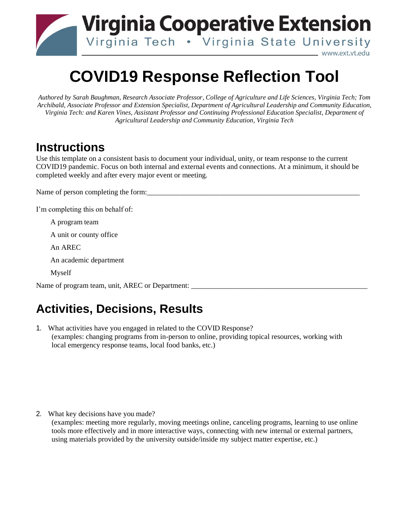

## **COVID19 Response Reflection Tool**

*Authored by Sarah Baughman, Research Associate Professor, College of Agriculture and Life Sciences, Virginia Tech; Tom Archibald, Associate Professor and Extension Specialist, Department of Agricultural Leadership and Community Education, Virginia Tech: and Karen Vines, Assistant Professor and Continuing Professional Education Specialist, Department of Agricultural Leadership and Community Education, Virginia Tech*

## **Instructions**

Use this template on a consistent basis to document your individual, unity, or team response to the current COVID19 pandemic. Focus on both internal and external events and connections. At a minimum, it should be completed weekly and after every major event or meeting.

Name of person completing the form:

I'm completing this on behalf of:

A program team

A unit or county office

An AREC

An academic department

Myself

Name of program team, unit, AREC or Department:

## **Activities, Decisions, Results**

1. What activities have you engaged in related to the COVID Response? (examples: changing programs from in-person to online, providing topical resources, working with local emergency response teams, local food banks, etc.)

2. What key decisions have you made?

(examples: meeting more regularly, moving meetings online, canceling programs, learning to use online tools more effectively and in more interactive ways, connecting with new internal or external partners, using materials provided by the university outside/inside my subject matter expertise, etc.)